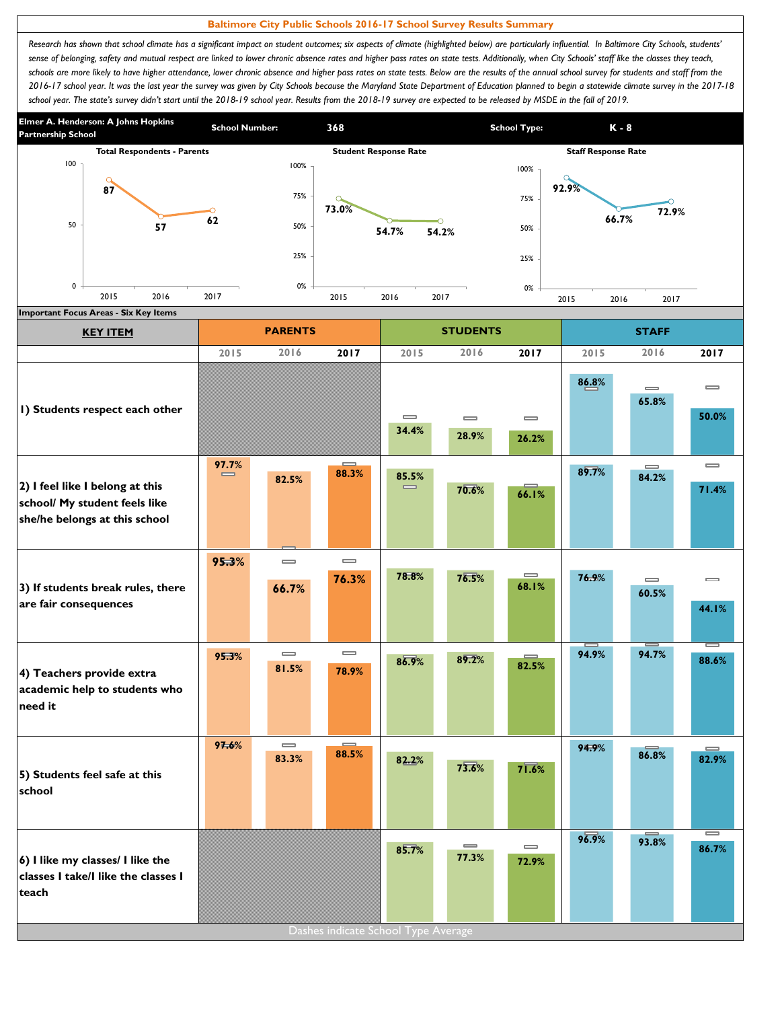## **Baltimore City Public Schools 2016-17 School Survey Results Summary**

Research has shown that school climate has a significant impact on student outcomes; six aspects of climate (highlighted below) are particularly influential. In Baltimore City Schools, students' sense of belonging, safety and mutual respect are linked to lower chronic absence rates and higher pass rates on state tests. Additionally, when City Schools' staff like the classes they teach, schools are more likely to have higher attendance, lower chronic absence and higher pass rates on state tests. Below are the results of the annual school survey for students and staff from the *2016-17 school year. It was the last year the survey was given by City Schools because the Maryland State Department of Education planned to begin a statewide climate survey in the 2017-18*  school year. The state's survey didn't start until the 2018-19 school year. Results from the 2018-19 survey are expected to be released by MSDE in the fall of 2019.



| <b>KEY ITEM</b>                                                                                   |                   | <b>PARENTS</b>                        |                                       |                                       | <b>STUDENTS</b>                       |                                       |       | <b>STAFF</b>                          |                                       |
|---------------------------------------------------------------------------------------------------|-------------------|---------------------------------------|---------------------------------------|---------------------------------------|---------------------------------------|---------------------------------------|-------|---------------------------------------|---------------------------------------|
|                                                                                                   | 2015              | 2016                                  | 2017                                  | 2015                                  | 2016                                  | 2017                                  | 2015  | 2016                                  | 2017                                  |
| I) Students respect each other                                                                    |                   |                                       |                                       | $\qquad \qquad \blacksquare$<br>34.4% | $\qquad \qquad \blacksquare$<br>28.9% | $\qquad \qquad \blacksquare$<br>26.2% | 86.8% | $\qquad \qquad \blacksquare$<br>65.8% | $\qquad \qquad \blacksquare$<br>50.0% |
| 2) I feel like I belong at this<br>school/ My student feels like<br>she/he belongs at this school | 97.7%<br>$\equiv$ | 82.5%                                 | $\equiv$<br>88.3%                     | 85.5%<br>$\equiv$                     | 70.6%                                 | 66.1%                                 | 89.7% | $\equiv$<br>84.2%                     | $\qquad \qquad \blacksquare$<br>71.4% |
| 3) If students break rules, there<br>are fair consequences                                        | 95.3%             | $\equiv$<br>66.7%                     | $\qquad \qquad \blacksquare$<br>76.3% | 78.8%                                 | 76.5%                                 | $\qquad \qquad \blacksquare$<br>68.1% | 76.9% | $\qquad \qquad \blacksquare$<br>60.5% | $\qquad \qquad \blacksquare$<br>44.1% |
| 4) Teachers provide extra<br>academic help to students who<br>need it                             | 95.3%             | $\qquad \qquad \blacksquare$<br>81.5% | $\qquad \qquad \blacksquare$<br>78.9% | 86.9%                                 | 89.2%                                 | 82.5%                                 | 94.9% | 94.7%                                 | $\overline{\phantom{0}}$<br>88.6%     |
| 5) Students feel safe at this<br>school                                                           | 97.6%             | $\qquad \qquad \blacksquare$<br>83.3% | $\equiv$<br>88.5%                     | 82.2%                                 | 73.6%                                 | $7\overline{1.6\%}$                   | 94.9% | 86.8%                                 | 82.9%                                 |
| 6) I like my classes/ I like the<br>classes I take/I like the classes I<br>teach                  |                   |                                       |                                       | 85.7%                                 | $\qquad \qquad \blacksquare$<br>77.3% | $\qquad \qquad \blacksquare$<br>72.9% | 96.9% | 93.8%                                 | I<br>86.7%                            |